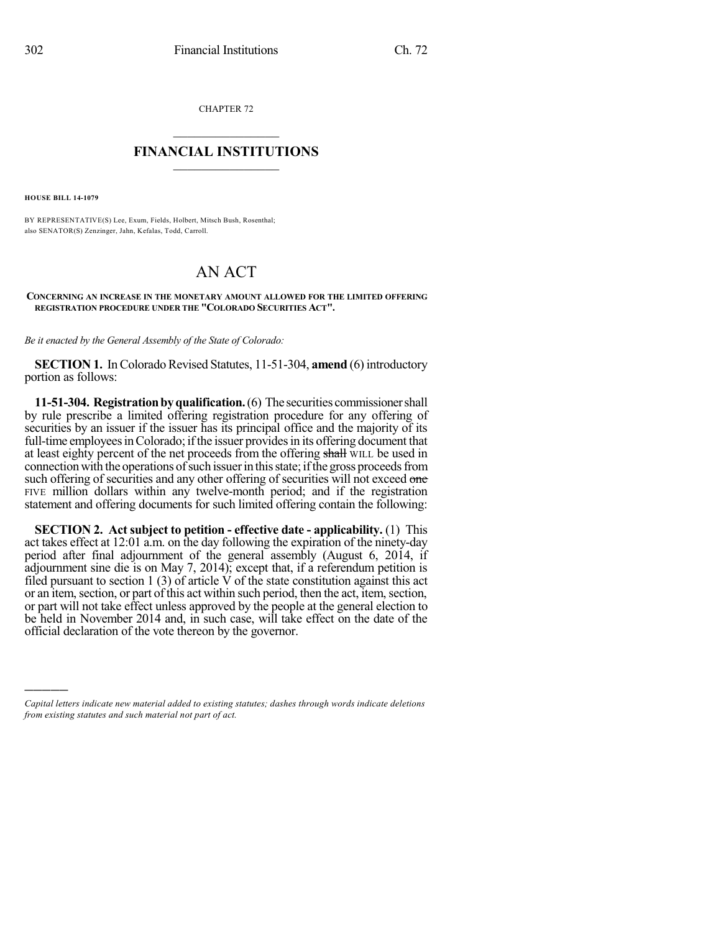CHAPTER 72

## $\mathcal{L}_\text{max}$  . The set of the set of the set of the set of the set of the set of the set of the set of the set of the set of the set of the set of the set of the set of the set of the set of the set of the set of the set **FINANCIAL INSTITUTIONS**  $\frac{1}{2}$  ,  $\frac{1}{2}$  ,  $\frac{1}{2}$  ,  $\frac{1}{2}$  ,  $\frac{1}{2}$  ,  $\frac{1}{2}$  ,  $\frac{1}{2}$

**HOUSE BILL 14-1079**

)))))

BY REPRESENTATIVE(S) Lee, Exum, Fields, Holbert, Mitsch Bush, Rosenthal; also SENATOR(S) Zenzinger, Jahn, Kefalas, Todd, Carroll.

## AN ACT

## **CONCERNING AN INCREASE IN THE MONETARY AMOUNT ALLOWED FOR THE LIMITED OFFERING REGISTRATION PROCEDURE UNDER THE "COLORADO SECURITIES ACT".**

*Be it enacted by the General Assembly of the State of Colorado:*

**SECTION 1.** In Colorado Revised Statutes, 11-51-304, **amend** (6) introductory portion as follows:

**11-51-304. Registration by qualification.** (6) The securities commissioner shall by rule prescribe a limited offering registration procedure for any offering of securities by an issuer if the issuer has its principal office and the majority of its full-time employees in Colorado; if the issuer provides in its offering document that at least eighty percent of the net proceeds from the offering shall WILL be used in connection with the operations of such issuer in this state; if the gross proceeds from such offering of securities and any other offering of securities will not exceed one FIVE million dollars within any twelve-month period; and if the registration statement and offering documents for such limited offering contain the following:

**SECTION 2. Act subject to petition - effective date - applicability.** (1) This act takes effect at 12:01 a.m. on the day following the expiration of the ninety-day period after final adjournment of the general assembly (August 6, 2014, if adjournment sine die is on May 7, 2014); except that, if a referendum petition is filed pursuant to section 1 (3) of article V of the state constitution against this act or an item, section, or part of this act within such period, then the act, item, section, or part will not take effect unless approved by the people at the general election to be held in November 2014 and, in such case, will take effect on the date of the official declaration of the vote thereon by the governor.

*Capital letters indicate new material added to existing statutes; dashes through words indicate deletions from existing statutes and such material not part of act.*